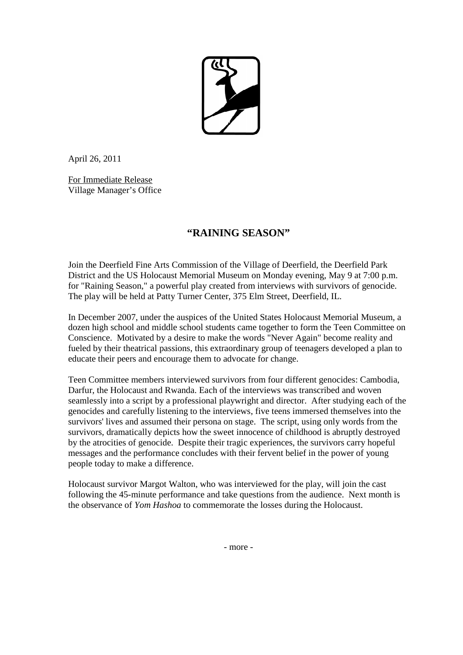

April 26, 2011

For Immediate Release Village Manager's Office

## **"RAINING SEASON"**

Join the Deerfield Fine Arts Commission of the Village of Deerfield, the Deerfield Park District and the US Holocaust Memorial Museum on Monday evening, May 9 at 7:00 p.m. for "Raining Season," a powerful play created from interviews with survivors of genocide. The play will be held at Patty Turner Center, 375 Elm Street, Deerfield, IL.

In December 2007, under the auspices of the United States Holocaust Memorial Museum, a dozen high school and middle school students came together to form the Teen Committee on Conscience. Motivated by a desire to make the words "Never Again" become reality and fueled by their theatrical passions, this extraordinary group of teenagers developed a plan to educate their peers and encourage them to advocate for change.

Teen Committee members interviewed survivors from four different genocides: Cambodia, Darfur, the Holocaust and Rwanda. Each of the interviews was transcribed and woven seamlessly into a script by a professional playwright and director. After studying each of the genocides and carefully listening to the interviews, five teens immersed themselves into the survivors' lives and assumed their persona on stage. The script, using only words from the survivors, dramatically depicts how the sweet innocence of childhood is abruptly destroyed by the atrocities of genocide. Despite their tragic experiences, the survivors carry hopeful messages and the performance concludes with their fervent belief in the power of young people today to make a difference.

Holocaust survivor Margot Walton, who was interviewed for the play, will join the cast following the 45-minute performance and take questions from the audience. Next month is the observance of *Yom Hashoa* to commemorate the losses during the Holocaust.

- more -